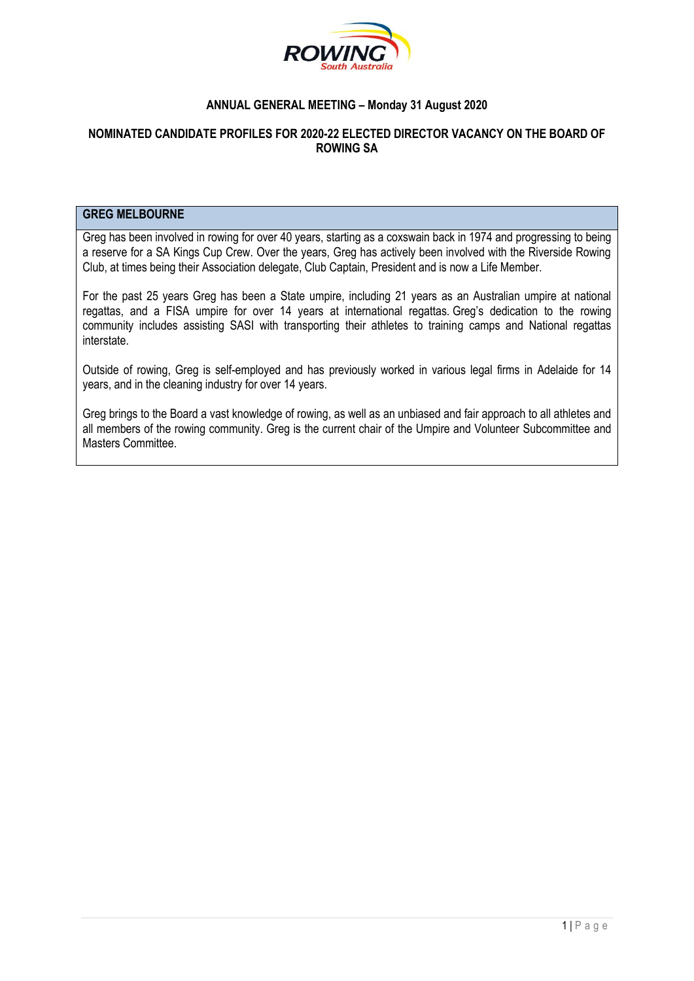

# **ANNUAL GENERAL MEETING – Monday 31 August 2020**

# **NOMINATED CANDIDATE PROFILES FOR 2020-22 ELECTED DIRECTOR VACANCY ON THE BOARD OF ROWING SA**

#### **GREG MELBOURNE**

Greg has been involved in rowing for over 40 years, starting as a coxswain back in 1974 and progressing to being a reserve for a SA Kings Cup Crew. Over the years, Greg has actively been involved with the Riverside Rowing Club, at times being their Association delegate, Club Captain, President and is now a Life Member.

For the past 25 years Greg has been a State umpire, including 21 years as an Australian umpire at national regattas, and a FISA umpire for over 14 years at international regattas. Greg's dedication to the rowing community includes assisting SASI with transporting their athletes to training camps and National regattas interstate.

Outside of rowing, Greg is self-employed and has previously worked in various legal firms in Adelaide for 14 years, and in the cleaning industry for over 14 years.

Greg brings to the Board a vast knowledge of rowing, as well as an unbiased and fair approach to all athletes and all members of the rowing community. Greg is the current chair of the Umpire and Volunteer Subcommittee and Masters Committee.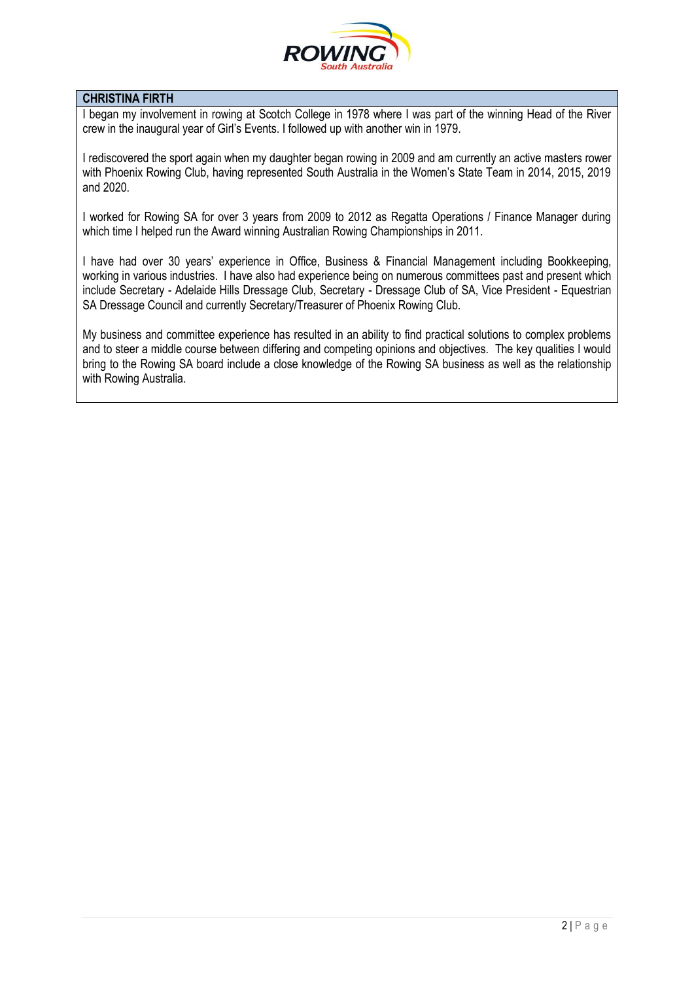

# **CHRISTINA FIRTH**

I began my involvement in rowing at Scotch College in 1978 where I was part of the winning Head of the River crew in the inaugural year of Girl's Events. I followed up with another win in 1979.

I rediscovered the sport again when my daughter began rowing in 2009 and am currently an active masters rower with Phoenix Rowing Club, having represented South Australia in the Women's State Team in 2014, 2015, 2019 and 2020.

I worked for Rowing SA for over 3 years from 2009 to 2012 as Regatta Operations / Finance Manager during which time I helped run the Award winning Australian Rowing Championships in 2011.

I have had over 30 years' experience in Office, Business & Financial Management including Bookkeeping, working in various industries. I have also had experience being on numerous committees past and present which include Secretary - Adelaide Hills Dressage Club, Secretary - Dressage Club of SA, Vice President - Equestrian SA Dressage Council and currently Secretary/Treasurer of Phoenix Rowing Club.

My business and committee experience has resulted in an ability to find practical solutions to complex problems and to steer a middle course between differing and competing opinions and objectives. The key qualities I would bring to the Rowing SA board include a close knowledge of the Rowing SA business as well as the relationship with Rowing Australia.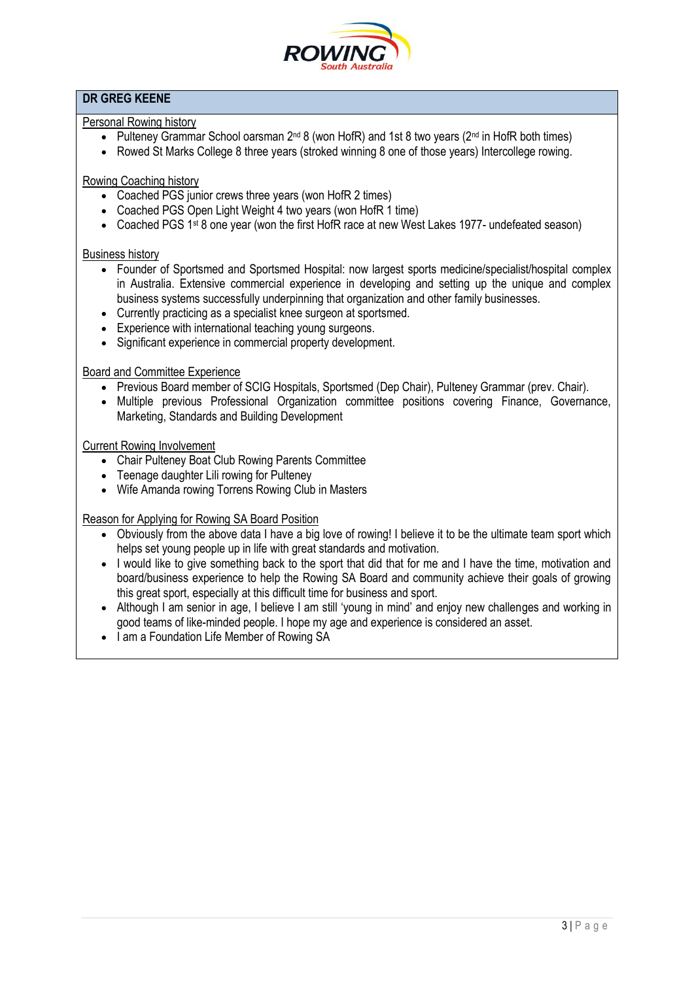

# **DR GREG KEENE**

# Personal Rowing history

- Pulteney Grammar School oarsman  $2^{nd}$  8 (won HofR) and 1st 8 two years ( $2^{nd}$  in HofR both times)
- Rowed St Marks College 8 three years (stroked winning 8 one of those years) Intercollege rowing.

Rowing Coaching history

- Coached PGS junior crews three years (won HofR 2 times)
- Coached PGS Open Light Weight 4 two years (won HofR 1 time)
- Coached PGS 1<sup>st</sup> 8 one year (won the first HofR race at new West Lakes 1977- undefeated season)

#### Business history

- Founder of Sportsmed and Sportsmed Hospital: now largest sports medicine/specialist/hospital complex in Australia. Extensive commercial experience in developing and setting up the unique and complex business systems successfully underpinning that organization and other family businesses.
- Currently practicing as a specialist knee surgeon at sportsmed.
- Experience with international teaching young surgeons.
- Significant experience in commercial property development.

### Board and Committee Experience

- Previous Board member of SCIG Hospitals, Sportsmed (Dep Chair), Pulteney Grammar (prev. Chair).
- Multiple previous Professional Organization committee positions covering Finance, Governance, Marketing, Standards and Building Development

## Current Rowing Involvement

- Chair Pulteney Boat Club Rowing Parents Committee
- Teenage daughter Lili rowing for Pulteney
- Wife Amanda rowing Torrens Rowing Club in Masters

#### Reason for Applying for Rowing SA Board Position

- Obviously from the above data I have a big love of rowing! I believe it to be the ultimate team sport which helps set young people up in life with great standards and motivation.
- I would like to give something back to the sport that did that for me and I have the time, motivation and board/business experience to help the Rowing SA Board and community achieve their goals of growing this great sport, especially at this difficult time for business and sport.
- Although I am senior in age, I believe I am still 'young in mind' and enjoy new challenges and working in good teams of like-minded people. I hope my age and experience is considered an asset.
- I am a Foundation Life Member of Rowing SA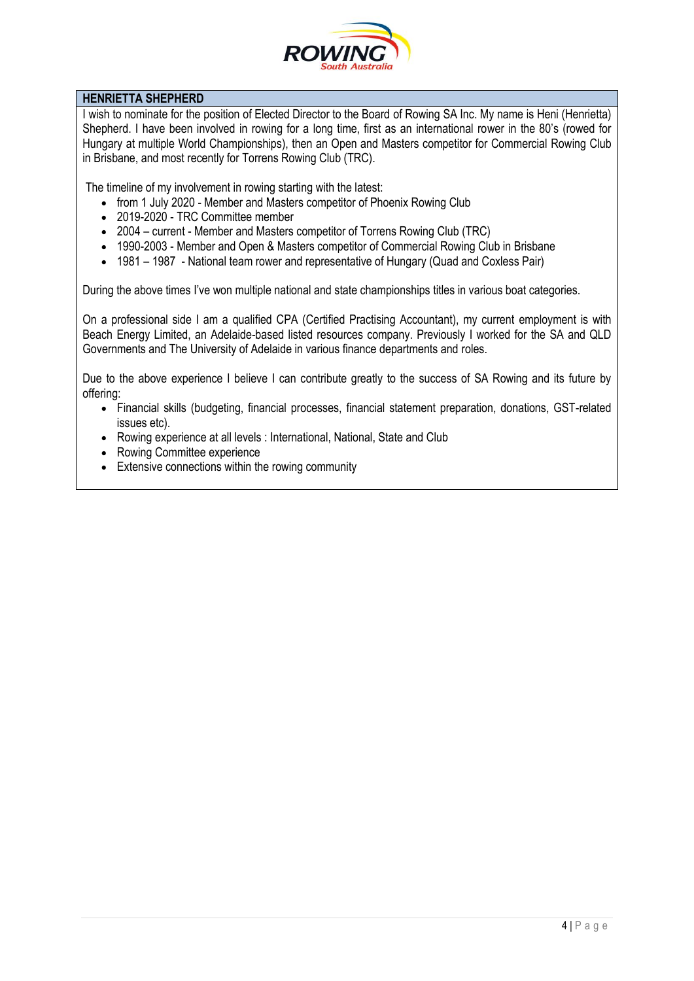

# **HENRIETTA SHEPHERD**

I wish to nominate for the position of Elected Director to the Board of Rowing SA Inc. My name is Heni (Henrietta) Shepherd. I have been involved in rowing for a long time, first as an international rower in the 80's (rowed for Hungary at multiple World Championships), then an Open and Masters competitor for Commercial Rowing Club in Brisbane, and most recently for Torrens Rowing Club (TRC).

The timeline of my involvement in rowing starting with the latest:

- from 1 July 2020 Member and Masters competitor of Phoenix Rowing Club
- 2019-2020 TRC Committee member
- 2004 current Member and Masters competitor of Torrens Rowing Club (TRC)
- 1990-2003 Member and Open & Masters competitor of Commercial Rowing Club in Brisbane
- 1981 1987 National team rower and representative of Hungary (Quad and Coxless Pair)

During the above times I've won multiple national and state championships titles in various boat categories.

On a professional side I am a qualified CPA (Certified Practising Accountant), my current employment is with Beach Energy Limited, an Adelaide-based listed resources company. Previously I worked for the SA and QLD Governments and The University of Adelaide in various finance departments and roles.

Due to the above experience I believe I can contribute greatly to the success of SA Rowing and its future by offering:

- Financial skills (budgeting, financial processes, financial statement preparation, donations, GST-related issues etc).
- Rowing experience at all levels : International, National, State and Club
- Rowing Committee experience
- Extensive connections within the rowing community